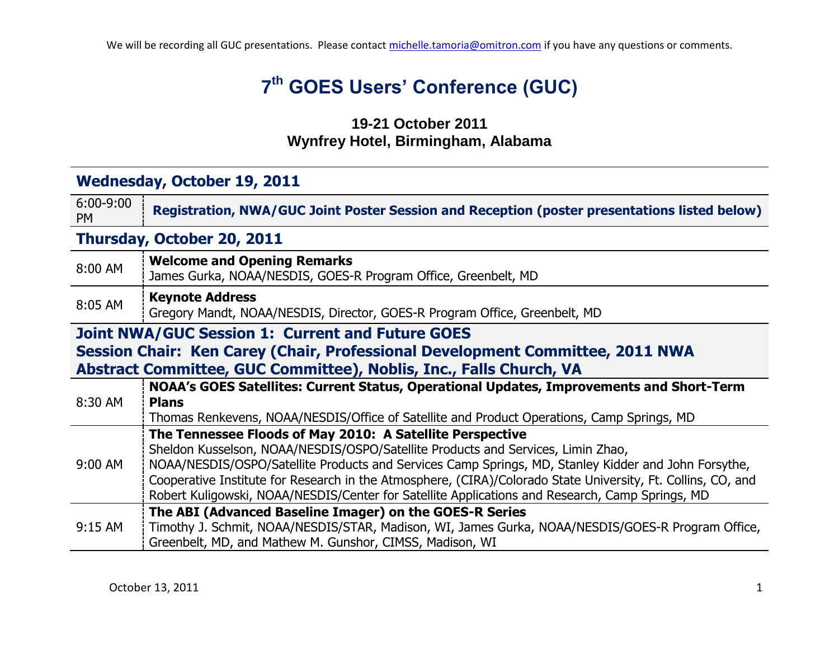# **7 th GOES Users' Conference (GUC)**

### **19-21 October 2011 Wynfrey Hotel, Birmingham, Alabama**

## **Wednesday, October 19, 2011**

| $6:00 - 9:00$<br><b>PM</b>                                                                                                                                                                                     | <b>Registration, NWA/GUC Joint Poster Session and Reception (poster presentations listed below)</b>                                                                                                                                                                                                                                                                                                                                                                      |
|----------------------------------------------------------------------------------------------------------------------------------------------------------------------------------------------------------------|--------------------------------------------------------------------------------------------------------------------------------------------------------------------------------------------------------------------------------------------------------------------------------------------------------------------------------------------------------------------------------------------------------------------------------------------------------------------------|
| Thursday, October 20, 2011                                                                                                                                                                                     |                                                                                                                                                                                                                                                                                                                                                                                                                                                                          |
| 8:00 AM                                                                                                                                                                                                        | <b>Welcome and Opening Remarks</b><br>James Gurka, NOAA/NESDIS, GOES-R Program Office, Greenbelt, MD                                                                                                                                                                                                                                                                                                                                                                     |
| 8:05 AM                                                                                                                                                                                                        | <b>Keynote Address</b><br>Gregory Mandt, NOAA/NESDIS, Director, GOES-R Program Office, Greenbelt, MD                                                                                                                                                                                                                                                                                                                                                                     |
| <b>Joint NWA/GUC Session 1: Current and Future GOES</b><br>Session Chair: Ken Carey (Chair, Professional Development Committee, 2011 NWA<br>Abstract Committee, GUC Committee), Noblis, Inc., Falls Church, VA |                                                                                                                                                                                                                                                                                                                                                                                                                                                                          |
| 8:30 AM                                                                                                                                                                                                        | NOAA's GOES Satellites: Current Status, Operational Updates, Improvements and Short-Term<br><b>Plans</b><br>Thomas Renkevens, NOAA/NESDIS/Office of Satellite and Product Operations, Camp Springs, MD                                                                                                                                                                                                                                                                   |
| 9:00 AM                                                                                                                                                                                                        | The Tennessee Floods of May 2010: A Satellite Perspective<br>Sheldon Kusselson, NOAA/NESDIS/OSPO/Satellite Products and Services, Limin Zhao,<br>NOAA/NESDIS/OSPO/Satellite Products and Services Camp Springs, MD, Stanley Kidder and John Forsythe,<br>Cooperative Institute for Research in the Atmosphere, (CIRA)/Colorado State University, Ft. Collins, CO, and<br>Robert Kuligowski, NOAA/NESDIS/Center for Satellite Applications and Research, Camp Springs, MD |
| $9:15$ AM                                                                                                                                                                                                      | The ABI (Advanced Baseline Imager) on the GOES-R Series<br>Timothy J. Schmit, NOAA/NESDIS/STAR, Madison, WI, James Gurka, NOAA/NESDIS/GOES-R Program Office,<br>Greenbelt, MD, and Mathew M. Gunshor, CIMSS, Madison, WI                                                                                                                                                                                                                                                 |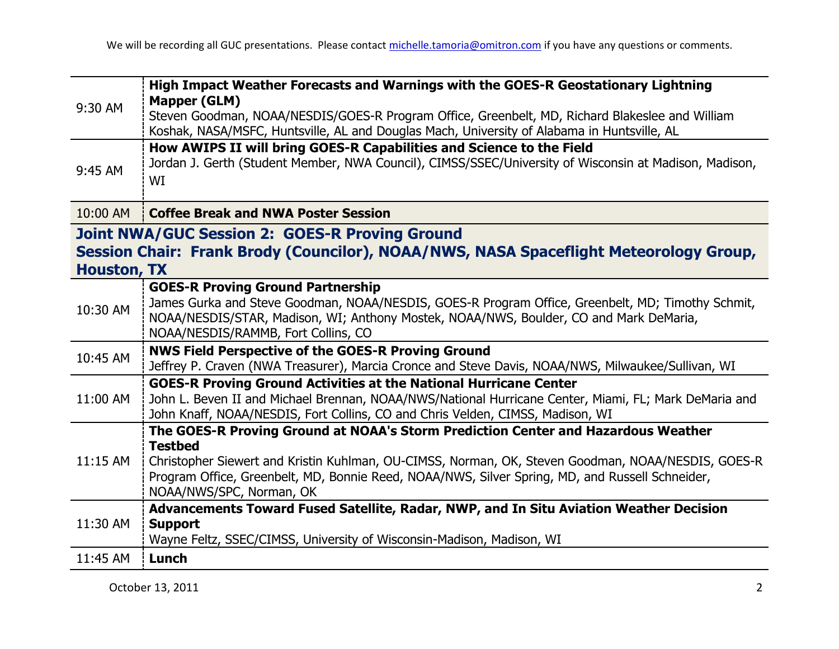| 9:30 AM                                                                                                                                                              | High Impact Weather Forecasts and Warnings with the GOES-R Geostationary Lightning                                                                                                                                                                                                                                                       |
|----------------------------------------------------------------------------------------------------------------------------------------------------------------------|------------------------------------------------------------------------------------------------------------------------------------------------------------------------------------------------------------------------------------------------------------------------------------------------------------------------------------------|
|                                                                                                                                                                      | <b>Mapper (GLM)</b><br>Steven Goodman, NOAA/NESDIS/GOES-R Program Office, Greenbelt, MD, Richard Blakeslee and William<br>Koshak, NASA/MSFC, Huntsville, AL and Douglas Mach, University of Alabama in Huntsville, AL                                                                                                                    |
| 9:45 AM                                                                                                                                                              | How AWIPS II will bring GOES-R Capabilities and Science to the Field<br>Jordan J. Gerth (Student Member, NWA Council), CIMSS/SSEC/University of Wisconsin at Madison, Madison,<br>WI                                                                                                                                                     |
| 10:00 AM                                                                                                                                                             | <b>Coffee Break and NWA Poster Session</b>                                                                                                                                                                                                                                                                                               |
| <b>Joint NWA/GUC Session 2: GOES-R Proving Ground</b><br>Session Chair: Frank Brody (Councilor), NOAA/NWS, NASA Spaceflight Meteorology Group,<br><b>Houston, TX</b> |                                                                                                                                                                                                                                                                                                                                          |
| 10:30 AM                                                                                                                                                             | <b>GOES-R Proving Ground Partnership</b><br>James Gurka and Steve Goodman, NOAA/NESDIS, GOES-R Program Office, Greenbelt, MD; Timothy Schmit,<br>NOAA/NESDIS/STAR, Madison, WI; Anthony Mostek, NOAA/NWS, Boulder, CO and Mark DeMaria,<br>NOAA/NESDIS/RAMMB, Fort Collins, CO                                                           |
| 10:45 AM                                                                                                                                                             | <b>NWS Field Perspective of the GOES-R Proving Ground</b><br>Jeffrey P. Craven (NWA Treasurer), Marcia Cronce and Steve Davis, NOAA/NWS, Milwaukee/Sullivan, WI                                                                                                                                                                          |
| 11:00 AM                                                                                                                                                             | <b>GOES-R Proving Ground Activities at the National Hurricane Center</b><br>John L. Beven II and Michael Brennan, NOAA/NWS/National Hurricane Center, Miami, FL; Mark DeMaria and<br>John Knaff, NOAA/NESDIS, Fort Collins, CO and Chris Velden, CIMSS, Madison, WI                                                                      |
| 11:15 AM                                                                                                                                                             | The GOES-R Proving Ground at NOAA's Storm Prediction Center and Hazardous Weather<br><b>Testbed</b><br>Christopher Siewert and Kristin Kuhlman, OU-CIMSS, Norman, OK, Steven Goodman, NOAA/NESDIS, GOES-R<br>Program Office, Greenbelt, MD, Bonnie Reed, NOAA/NWS, Silver Spring, MD, and Russell Schneider,<br>NOAA/NWS/SPC, Norman, OK |
| 11:30 AM                                                                                                                                                             | Advancements Toward Fused Satellite, Radar, NWP, and In Situ Aviation Weather Decision<br><b>Support</b><br>Wayne Feltz, SSEC/CIMSS, University of Wisconsin-Madison, Madison, WI                                                                                                                                                        |
| 11:45 AM                                                                                                                                                             | Lunch                                                                                                                                                                                                                                                                                                                                    |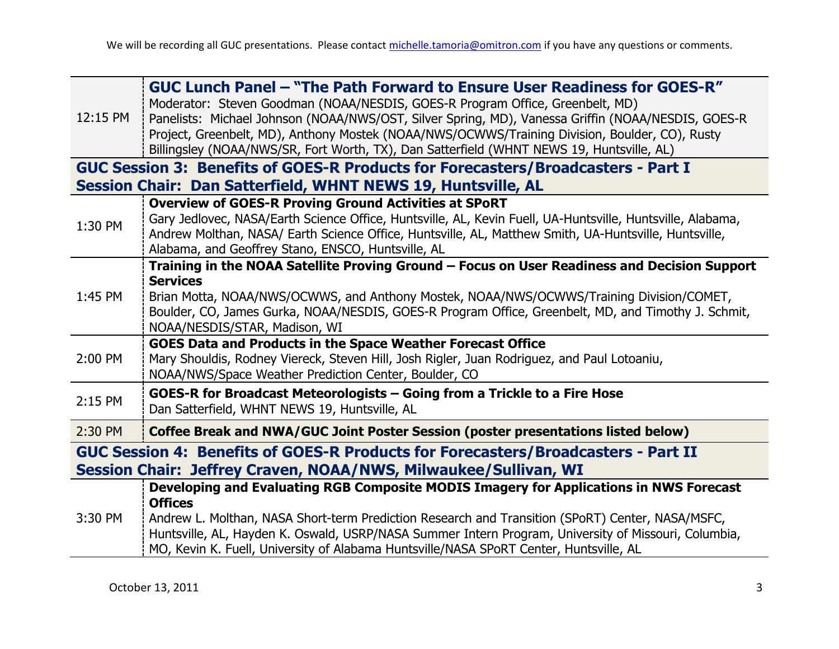| 12:15 PM                                                                                                                                             | GUC Lunch Panel - "The Path Forward to Ensure User Readiness for GOES-R"<br>Moderator: Steven Goodman (NOAA/NESDIS, GOES-R Program Office, Greenbelt, MD)<br>Panelists: Michael Johnson (NOAA/NWS/OST, Silver Spring, MD), Vanessa Griffin (NOAA/NESDIS, GOES-R<br>Project, Greenbelt, MD), Anthony Mostek (NOAA/NWS/OCWWS/Training Division, Boulder, CO), Rusty<br>Billingsley (NOAA/NWS/SR, Fort Worth, TX), Dan Satterfield (WHNT NEWS 19, Huntsville, AL) |
|------------------------------------------------------------------------------------------------------------------------------------------------------|----------------------------------------------------------------------------------------------------------------------------------------------------------------------------------------------------------------------------------------------------------------------------------------------------------------------------------------------------------------------------------------------------------------------------------------------------------------|
|                                                                                                                                                      | GUC Session 3: Benefits of GOES-R Products for Forecasters/Broadcasters - Part I                                                                                                                                                                                                                                                                                                                                                                               |
|                                                                                                                                                      | Session Chair: Dan Satterfield, WHNT NEWS 19, Huntsville, AL                                                                                                                                                                                                                                                                                                                                                                                                   |
| 1:30 PM                                                                                                                                              | <b>Overview of GOES-R Proving Ground Activities at SPoRT</b><br>Gary Jedlovec, NASA/Earth Science Office, Huntsville, AL, Kevin Fuell, UA-Huntsville, Huntsville, Alabama,<br>Andrew Molthan, NASA/ Earth Science Office, Huntsville, AL, Matthew Smith, UA-Huntsville, Huntsville,<br>Alabama, and Geoffrey Stano, ENSCO, Huntsville, AL                                                                                                                      |
|                                                                                                                                                      | Training in the NOAA Satellite Proving Ground - Focus on User Readiness and Decision Support                                                                                                                                                                                                                                                                                                                                                                   |
| 1:45 PM                                                                                                                                              | <b>Services</b><br>Brian Motta, NOAA/NWS/OCWWS, and Anthony Mostek, NOAA/NWS/OCWWS/Training Division/COMET,<br>Boulder, CO, James Gurka, NOAA/NESDIS, GOES-R Program Office, Greenbelt, MD, and Timothy J. Schmit,<br>NOAA/NESDIS/STAR, Madison, WI                                                                                                                                                                                                            |
|                                                                                                                                                      | <b>GOES Data and Products in the Space Weather Forecast Office</b>                                                                                                                                                                                                                                                                                                                                                                                             |
| 2:00 PM                                                                                                                                              | Mary Shouldis, Rodney Viereck, Steven Hill, Josh Rigler, Juan Rodriguez, and Paul Lotoaniu,<br>NOAA/NWS/Space Weather Prediction Center, Boulder, CO                                                                                                                                                                                                                                                                                                           |
| 2:15 PM                                                                                                                                              | GOES-R for Broadcast Meteorologists - Going from a Trickle to a Fire Hose<br>Dan Satterfield, WHNT NEWS 19, Huntsville, AL                                                                                                                                                                                                                                                                                                                                     |
| 2:30 PM                                                                                                                                              | Coffee Break and NWA/GUC Joint Poster Session (poster presentations listed below)                                                                                                                                                                                                                                                                                                                                                                              |
| GUC Session 4: Benefits of GOES-R Products for Forecasters/Broadcasters - Part II<br>Session Chair: Jeffrey Craven, NOAA/NWS, Milwaukee/Sullivan, WI |                                                                                                                                                                                                                                                                                                                                                                                                                                                                |
|                                                                                                                                                      | Developing and Evaluating RGB Composite MODIS Imagery for Applications in NWS Forecast<br><b>Offices</b>                                                                                                                                                                                                                                                                                                                                                       |
| 3:30 PM                                                                                                                                              | Andrew L. Molthan, NASA Short-term Prediction Research and Transition (SPoRT) Center, NASA/MSFC,<br>Huntsville, AL, Hayden K. Oswald, USRP/NASA Summer Intern Program, University of Missouri, Columbia,<br>MO, Kevin K. Fuell, University of Alabama Huntsville/NASA SPoRT Center, Huntsville, AL                                                                                                                                                             |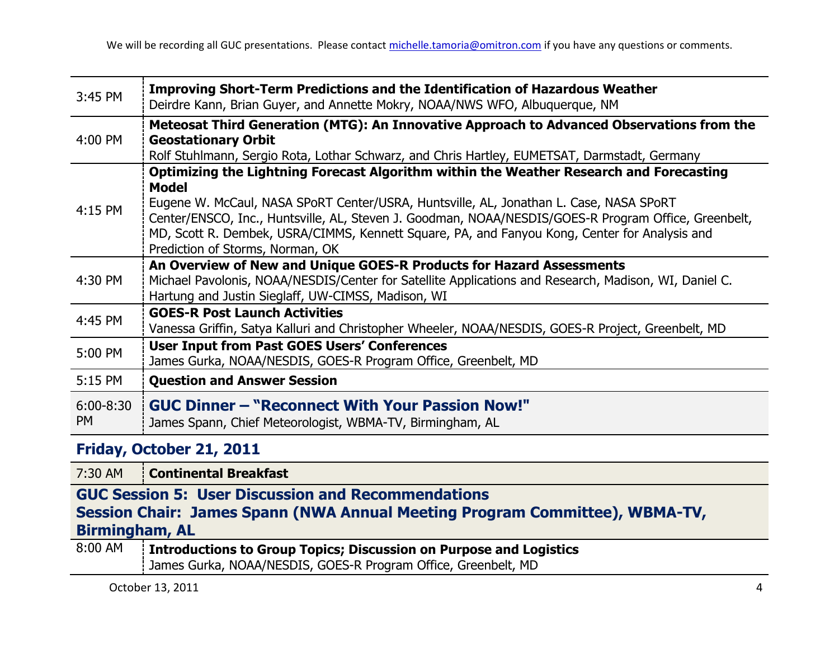| 3:45 PM                    | <b>Improving Short-Term Predictions and the Identification of Hazardous Weather</b><br>Deirdre Kann, Brian Guyer, and Annette Mokry, NOAA/NWS WFO, Albuquerque, NM                                                                                                                                                                                                                                                                             |
|----------------------------|------------------------------------------------------------------------------------------------------------------------------------------------------------------------------------------------------------------------------------------------------------------------------------------------------------------------------------------------------------------------------------------------------------------------------------------------|
| 4:00 PM                    | Meteosat Third Generation (MTG): An Innovative Approach to Advanced Observations from the<br><b>Geostationary Orbit</b><br>Rolf Stuhlmann, Sergio Rota, Lothar Schwarz, and Chris Hartley, EUMETSAT, Darmstadt, Germany                                                                                                                                                                                                                        |
| 4:15 PM                    | Optimizing the Lightning Forecast Algorithm within the Weather Research and Forecasting<br><b>Model</b><br>Eugene W. McCaul, NASA SPoRT Center/USRA, Huntsville, AL, Jonathan L. Case, NASA SPoRT<br>Center/ENSCO, Inc., Huntsville, AL, Steven J. Goodman, NOAA/NESDIS/GOES-R Program Office, Greenbelt,<br>MD, Scott R. Dembek, USRA/CIMMS, Kennett Square, PA, and Fanyou Kong, Center for Analysis and<br>Prediction of Storms, Norman, OK |
| 4:30 PM                    | An Overview of New and Unique GOES-R Products for Hazard Assessments<br>Michael Pavolonis, NOAA/NESDIS/Center for Satellite Applications and Research, Madison, WI, Daniel C.<br>Hartung and Justin Sieglaff, UW-CIMSS, Madison, WI                                                                                                                                                                                                            |
| 4:45 PM                    | <b>GOES-R Post Launch Activities</b><br>Vanessa Griffin, Satya Kalluri and Christopher Wheeler, NOAA/NESDIS, GOES-R Project, Greenbelt, MD                                                                                                                                                                                                                                                                                                     |
| 5:00 PM                    | <b>User Input from Past GOES Users' Conferences</b><br>James Gurka, NOAA/NESDIS, GOES-R Program Office, Greenbelt, MD                                                                                                                                                                                                                                                                                                                          |
| 5:15 PM                    | <b>Question and Answer Session</b>                                                                                                                                                                                                                                                                                                                                                                                                             |
| $6:00 - 8:30$<br><b>PM</b> | <b>GUC Dinner - "Reconnect With Your Passion Now!"</b><br>James Spann, Chief Meteorologist, WBMA-TV, Birmingham, AL                                                                                                                                                                                                                                                                                                                            |
| Friday, October 21, 2011   |                                                                                                                                                                                                                                                                                                                                                                                                                                                |

7:30 AM **Continental Breakfast**

**GUC Session 5: User Discussion and Recommendations Session Chair: James Spann (NWA Annual Meeting Program Committee), WBMA-TV, Birmingham, AL**

| 8:00 AM | Introductions to Group Topics; Discussion on Purpose and Logistics |
|---------|--------------------------------------------------------------------|
|         | : James Gurka, NOAA/NESDIS, GOES-R Program Office, Greenbelt, MD   |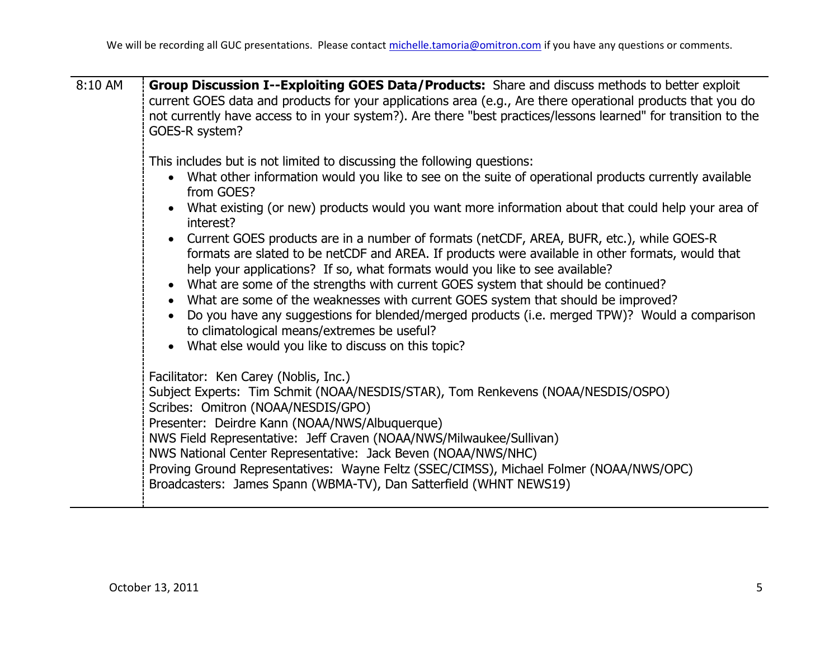| Group Discussion I--Exploiting GOES Data/Products: Share and discuss methods to better exploit<br>current GOES data and products for your applications area (e.g., Are there operational products that you do<br>not currently have access to in your system?). Are there "best practices/lessons learned" for transition to the<br>GOES-R system?                                                                                                                                                                                                                                                      |
|---------------------------------------------------------------------------------------------------------------------------------------------------------------------------------------------------------------------------------------------------------------------------------------------------------------------------------------------------------------------------------------------------------------------------------------------------------------------------------------------------------------------------------------------------------------------------------------------------------|
| This includes but is not limited to discussing the following questions:<br>What other information would you like to see on the suite of operational products currently available<br>from GOES?<br>• What existing (or new) products would you want more information about that could help your area of<br>interest?<br>• Current GOES products are in a number of formats (netCDF, AREA, BUFR, etc.), while GOES-R<br>formats are slated to be netCDF and AREA. If products were available in other formats, would that<br>help your applications? If so, what formats would you like to see available? |
| • What are some of the strengths with current GOES system that should be continued?<br>• What are some of the weaknesses with current GOES system that should be improved?<br>Do you have any suggestions for blended/merged products (i.e. merged TPW)? Would a comparison<br>to climatological means/extremes be useful?<br>What else would you like to discuss on this topic?                                                                                                                                                                                                                        |
| Facilitator: Ken Carey (Noblis, Inc.)<br>Subject Experts: Tim Schmit (NOAA/NESDIS/STAR), Tom Renkevens (NOAA/NESDIS/OSPO)<br>Scribes: Omitron (NOAA/NESDIS/GPO)<br>Presenter: Deirdre Kann (NOAA/NWS/Albuquerque)<br>NWS Field Representative: Jeff Craven (NOAA/NWS/Milwaukee/Sullivan)<br>NWS National Center Representative: Jack Beven (NOAA/NWS/NHC)<br>Proving Ground Representatives: Wayne Feltz (SSEC/CIMSS), Michael Folmer (NOAA/NWS/OPC)<br>Broadcasters: James Spann (WBMA-TV), Dan Satterfield (WHNT NEWS19)                                                                              |
|                                                                                                                                                                                                                                                                                                                                                                                                                                                                                                                                                                                                         |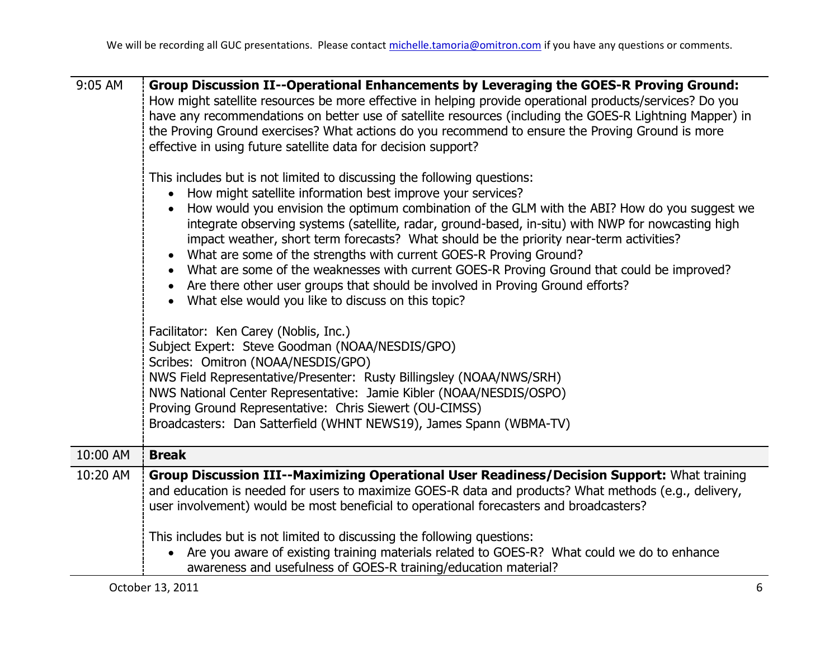| 9:05 AM  | Group Discussion II--Operational Enhancements by Leveraging the GOES-R Proving Ground:<br>How might satellite resources be more effective in helping provide operational products/services? Do you<br>have any recommendations on better use of satellite resources (including the GOES-R Lightning Mapper) in<br>the Proving Ground exercises? What actions do you recommend to ensure the Proving Ground is more<br>effective in using future satellite data for decision support?<br>This includes but is not limited to discussing the following questions:<br>How might satellite information best improve your services?<br>How would you envision the optimum combination of the GLM with the ABI? How do you suggest we<br>integrate observing systems (satellite, radar, ground-based, in-situ) with NWP for nowcasting high<br>impact weather, short term forecasts? What should be the priority near-term activities? |
|----------|----------------------------------------------------------------------------------------------------------------------------------------------------------------------------------------------------------------------------------------------------------------------------------------------------------------------------------------------------------------------------------------------------------------------------------------------------------------------------------------------------------------------------------------------------------------------------------------------------------------------------------------------------------------------------------------------------------------------------------------------------------------------------------------------------------------------------------------------------------------------------------------------------------------------------------|
|          | What are some of the strengths with current GOES-R Proving Ground?<br>What are some of the weaknesses with current GOES-R Proving Ground that could be improved?<br>• Are there other user groups that should be involved in Proving Ground efforts?<br>What else would you like to discuss on this topic?                                                                                                                                                                                                                                                                                                                                                                                                                                                                                                                                                                                                                       |
|          | Facilitator: Ken Carey (Noblis, Inc.)<br>Subject Expert: Steve Goodman (NOAA/NESDIS/GPO)<br>Scribes: Omitron (NOAA/NESDIS/GPO)<br>NWS Field Representative/Presenter: Rusty Billingsley (NOAA/NWS/SRH)<br>NWS National Center Representative: Jamie Kibler (NOAA/NESDIS/OSPO)<br>Proving Ground Representative: Chris Siewert (OU-CIMSS)<br>Broadcasters: Dan Satterfield (WHNT NEWS19), James Spann (WBMA-TV)                                                                                                                                                                                                                                                                                                                                                                                                                                                                                                                   |
| 10:00 AM | <b>Break</b>                                                                                                                                                                                                                                                                                                                                                                                                                                                                                                                                                                                                                                                                                                                                                                                                                                                                                                                     |
| 10:20 AM | Group Discussion III--Maximizing Operational User Readiness/Decision Support: What training<br>and education is needed for users to maximize GOES-R data and products? What methods (e.g., delivery,<br>user involvement) would be most beneficial to operational forecasters and broadcasters?                                                                                                                                                                                                                                                                                                                                                                                                                                                                                                                                                                                                                                  |
|          | This includes but is not limited to discussing the following questions:<br>Are you aware of existing training materials related to GOES-R? What could we do to enhance<br>$\bullet$<br>awareness and usefulness of GOES-R training/education material?                                                                                                                                                                                                                                                                                                                                                                                                                                                                                                                                                                                                                                                                           |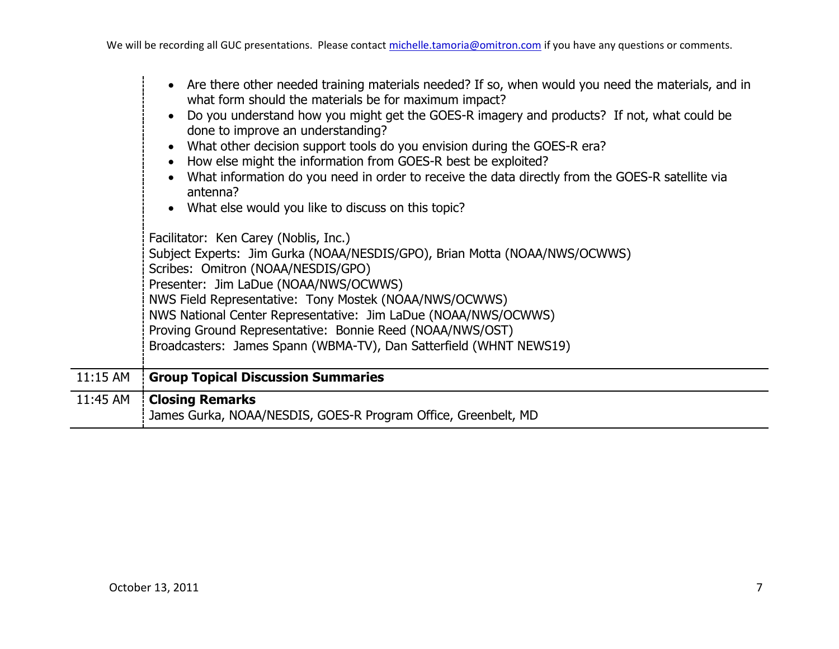|            | • Are there other needed training materials needed? If so, when would you need the materials, and in<br>what form should the materials be for maximum impact?<br>Do you understand how you might get the GOES-R imagery and products? If not, what could be<br>done to improve an understanding?<br>What other decision support tools do you envision during the GOES-R era?<br>How else might the information from GOES-R best be exploited?<br>What information do you need in order to receive the data directly from the GOES-R satellite via<br>antenna?<br>What else would you like to discuss on this topic?<br>Facilitator: Ken Carey (Noblis, Inc.)<br>Subject Experts: Jim Gurka (NOAA/NESDIS/GPO), Brian Motta (NOAA/NWS/OCWWS)<br>Scribes: Omitron (NOAA/NESDIS/GPO)<br>Presenter: Jim LaDue (NOAA/NWS/OCWWS)<br>NWS Field Representative: Tony Mostek (NOAA/NWS/OCWWS)<br>NWS National Center Representative: Jim LaDue (NOAA/NWS/OCWWS)<br>Proving Ground Representative: Bonnie Reed (NOAA/NWS/OST)<br>Broadcasters: James Spann (WBMA-TV), Dan Satterfield (WHNT NEWS19) |
|------------|------------------------------------------------------------------------------------------------------------------------------------------------------------------------------------------------------------------------------------------------------------------------------------------------------------------------------------------------------------------------------------------------------------------------------------------------------------------------------------------------------------------------------------------------------------------------------------------------------------------------------------------------------------------------------------------------------------------------------------------------------------------------------------------------------------------------------------------------------------------------------------------------------------------------------------------------------------------------------------------------------------------------------------------------------------------------------------------|
| $11:15$ AM | <b>Group Topical Discussion Summaries</b>                                                                                                                                                                                                                                                                                                                                                                                                                                                                                                                                                                                                                                                                                                                                                                                                                                                                                                                                                                                                                                                |
| 11:45 AM   | <b>Closing Remarks</b><br>James Gurka, NOAA/NESDIS, GOES-R Program Office, Greenbelt, MD                                                                                                                                                                                                                                                                                                                                                                                                                                                                                                                                                                                                                                                                                                                                                                                                                                                                                                                                                                                                 |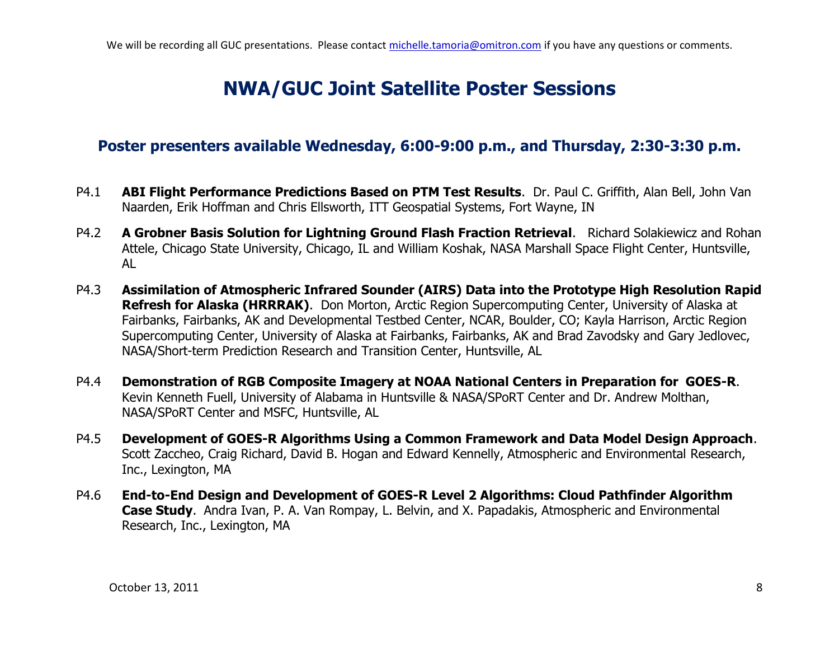## **NWA/GUC Joint Satellite Poster Sessions**

#### **Poster presenters available Wednesday, 6:00-9:00 p.m., and Thursday, 2:30-3:30 p.m.**

- P4.1 **ABI Flight Performance Predictions Based on PTM Test Results**. Dr. Paul C. Griffith, Alan Bell, John Van Naarden, Erik Hoffman and Chris Ellsworth, ITT Geospatial Systems, Fort Wayne, IN
- P4.2 **A Grobner Basis Solution for Lightning Ground Flash Fraction Retrieval**. Richard Solakiewicz and Rohan Attele, Chicago State University, Chicago, IL and William Koshak, NASA Marshall Space Flight Center, Huntsville, AL
- P4.3 **Assimilation of Atmospheric Infrared Sounder (AIRS) Data into the Prototype High Resolution Rapid Refresh for Alaska (HRRRAK)**. Don Morton, Arctic Region Supercomputing Center, University of Alaska at Fairbanks, Fairbanks, AK and Developmental Testbed Center, NCAR, Boulder, CO; Kayla Harrison, Arctic Region Supercomputing Center, University of Alaska at Fairbanks, Fairbanks, AK and Brad Zavodsky and Gary Jedlovec, NASA/Short-term Prediction Research and Transition Center, Huntsville, AL
- P4.4 **Demonstration of RGB Composite Imagery at NOAA National Centers in Preparation for GOES-R**. Kevin Kenneth Fuell, University of Alabama in Huntsville & NASA/SPoRT Center and Dr. Andrew Molthan, NASA/SPoRT Center and MSFC, Huntsville, AL
- P4.5 **Development of GOES-R Algorithms Using a Common Framework and Data Model Design Approach**. Scott Zaccheo, Craig Richard, David B. Hogan and Edward Kennelly, Atmospheric and Environmental Research, Inc., Lexington, MA
- P4.6 **End-to-End Design and Development of GOES-R Level 2 Algorithms: Cloud Pathfinder Algorithm Case Study**.Andra Ivan, P. A. Van Rompay, L. Belvin, and X. Papadakis, Atmospheric and Environmental Research, Inc., Lexington, MA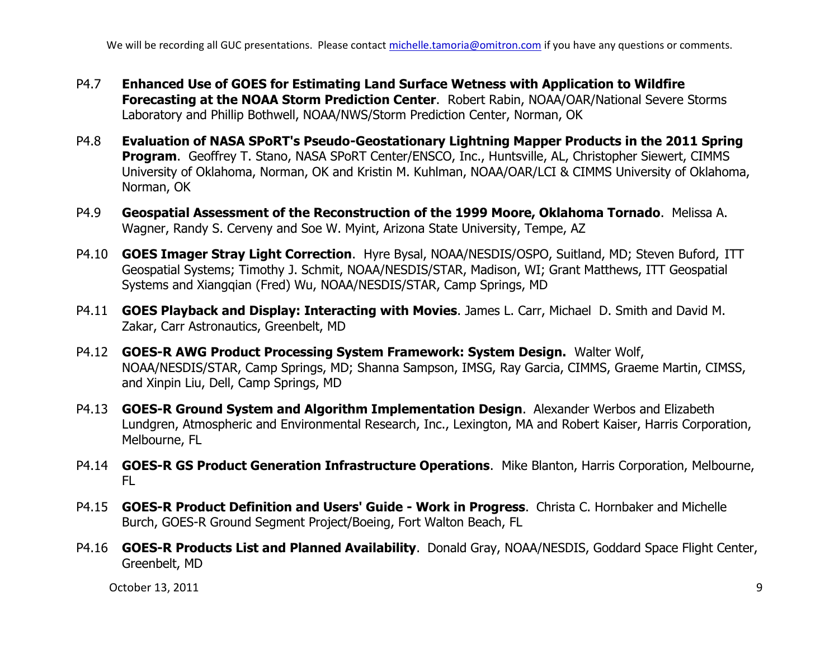We will be recording all GUC presentations. Please contact michelle.tamoria@omitron.com if you have any questions or comments.

- P4.7 **Enhanced Use of GOES for Estimating Land Surface Wetness with Application to Wildfire Forecasting at the NOAA Storm Prediction Center**. Robert Rabin, NOAA/OAR/National Severe Storms Laboratory and Phillip Bothwell, NOAA/NWS/Storm Prediction Center, Norman, OK
- P4.8 **Evaluation of NASA SPoRT's Pseudo-Geostationary Lightning Mapper Products in the 2011 Spring Program**. Geoffrey T. Stano, NASA SPoRT Center/ENSCO, Inc., Huntsville, AL, Christopher Siewert, CIMMS University of Oklahoma, Norman, OK and Kristin M. Kuhlman, NOAA/OAR/LCI & CIMMS University of Oklahoma, Norman, OK
- P4.9 **Geospatial Assessment of the Reconstruction of the 1999 Moore, Oklahoma Tornado**. Melissa A. Wagner, Randy S. Cerveny and Soe W. Myint, Arizona State University, Tempe, AZ
- P4.10 **GOES Imager Stray Light Correction**. Hyre Bysal, NOAA/NESDIS/OSPO, Suitland, MD; Steven Buford, ITT Geospatial Systems; Timothy J. Schmit, NOAA/NESDIS/STAR, Madison, WI; Grant Matthews, ITT Geospatial Systems and Xiangqian (Fred) Wu, NOAA/NESDIS/STAR, Camp Springs, MD
- P4.11 **GOES Playback and Display: Interacting with Movies**. James L. Carr, Michael D. Smith and David M. Zakar, Carr Astronautics, Greenbelt, MD
- P4.12 **GOES-R AWG Product Processing System Framework: System Design.** Walter Wolf, NOAA/NESDIS/STAR, Camp Springs, MD; Shanna Sampson, IMSG, Ray Garcia, CIMMS, Graeme Martin, CIMSS, and Xinpin Liu, Dell, Camp Springs, MD
- P4.13 **GOES-R Ground System and Algorithm Implementation Design**.Alexander Werbos and Elizabeth Lundgren, Atmospheric and Environmental Research, Inc., Lexington, MA and Robert Kaiser, Harris Corporation, Melbourne, FL
- P4.14 **GOES-R GS Product Generation Infrastructure Operations**. Mike Blanton, Harris Corporation, Melbourne, FL
- P4.15 **GOES-R Product Definition and Users' Guide - Work in Progress**.Christa C. Hornbaker and Michelle Burch, GOES-R Ground Segment Project/Boeing, Fort Walton Beach, FL
- P4.16 **GOES-R Products List and Planned Availability**. Donald Gray, NOAA/NESDIS, Goddard Space Flight Center, Greenbelt, MD

October 13, 2011 9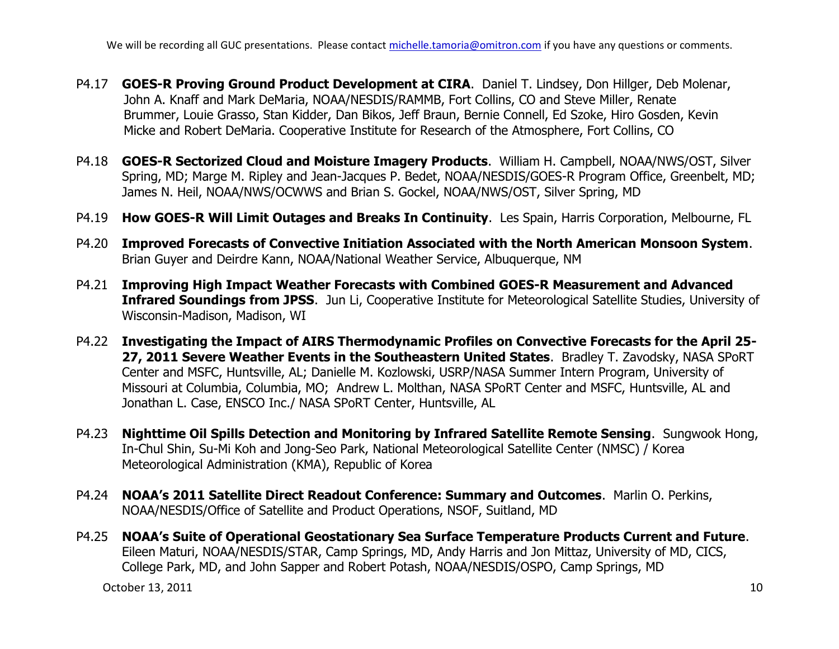We will be recording all GUC presentations. Please contact michelle.tamoria@omitron.com if you have any questions or comments.

- P4.17 **GOES-R Proving Ground Product Development at CIRA**. Daniel T. Lindsey, Don Hillger, Deb Molenar, John A. Knaff and Mark DeMaria, NOAA/NESDIS/RAMMB, Fort Collins, CO and Steve Miller, Renate Brummer, Louie Grasso, Stan Kidder, Dan Bikos, Jeff Braun, Bernie Connell, Ed Szoke, Hiro Gosden, Kevin Micke and Robert DeMaria. Cooperative Institute for Research of the Atmosphere, Fort Collins, CO
- P4.18 **GOES-R Sectorized Cloud and Moisture Imagery Products**.William H. Campbell, NOAA/NWS/OST, Silver Spring, MD; Marge M. Ripley and Jean-Jacques P. Bedet, NOAA/NESDIS/GOES-R Program Office, Greenbelt, MD; James N. Heil, NOAA/NWS/OCWWS and Brian S. Gockel, NOAA/NWS/OST, Silver Spring, MD
- P4.19 **How GOES-R Will Limit Outages and Breaks In Continuity**. Les Spain, Harris Corporation, Melbourne, FL
- P4.20 **Improved Forecasts of Convective Initiation Associated with the North American Monsoon System**. Brian Guyer and Deirdre Kann, NOAA/National Weather Service, Albuquerque, NM
- P4.21 **Improving High Impact Weather Forecasts with Combined GOES-R Measurement and Advanced Infrared Soundings from JPSS**. Jun Li, Cooperative Institute for Meteorological Satellite Studies, University of Wisconsin-Madison, Madison, WI
- P4.22 **Investigating the Impact of AIRS Thermodynamic Profiles on Convective Forecasts for the April 25- 27, 2011 Severe Weather Events in the Southeastern United States**. Bradley T. Zavodsky, NASA SPoRT Center and MSFC, Huntsville, AL; Danielle M. Kozlowski, USRP/NASA Summer Intern Program, University of Missouri at Columbia, Columbia, MO; Andrew L. Molthan, NASA SPoRT Center and MSFC, Huntsville, AL and Jonathan L. Case, ENSCO Inc./ NASA SPoRT Center, Huntsville, AL
- P4.23 **Nighttime Oil Spills Detection and Monitoring by Infrared Satellite Remote Sensing**. Sungwook Hong, In-Chul Shin, Su-Mi Koh and Jong-Seo Park, National Meteorological Satellite Center (NMSC) / Korea Meteorological Administration (KMA), Republic of Korea
- P4.24 **NOAA's 2011 Satellite Direct Readout Conference: Summary and Outcomes**. Marlin O. Perkins, NOAA/NESDIS/Office of Satellite and Product Operations, NSOF, Suitland, MD
- P4.25 **NOAA's Suite of Operational Geostationary Sea Surface Temperature Products Current and Future**. Eileen Maturi, NOAA/NESDIS/STAR, Camp Springs, MD, Andy Harris and Jon Mittaz, University of MD, CICS, College Park, MD, and John Sapper and Robert Potash, NOAA/NESDIS/OSPO, Camp Springs, MD

October 13, 2011 10 and 10 and 10 and 10 and 10 and 10 and 10 and 10 and 10 and 10 and 10 and 10 and 10 and 10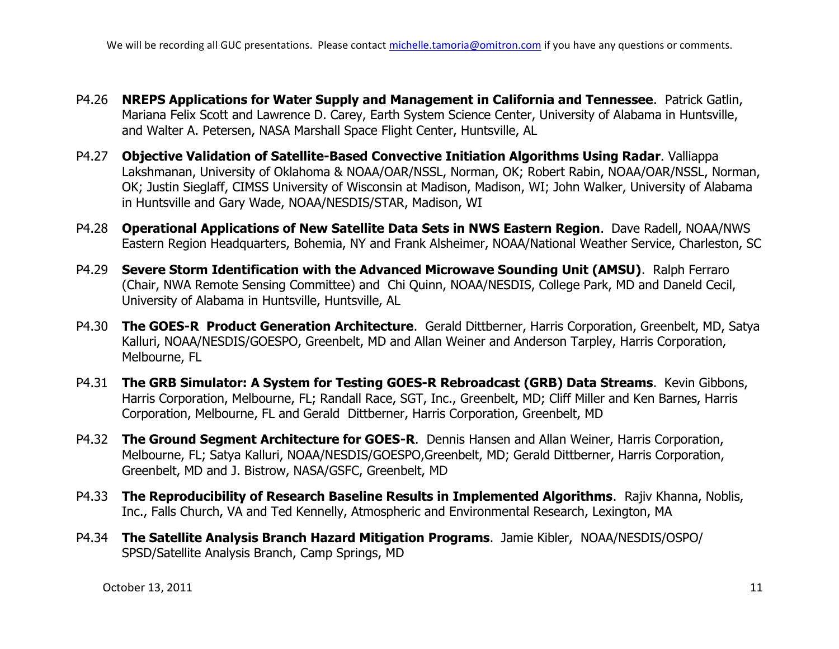- P4.26 **NREPS Applications for Water Supply and Management in California and Tennessee**. Patrick Gatlin, Mariana Felix Scott and Lawrence D. Carey, Earth System Science Center, University of Alabama in Huntsville, and Walter A. Petersen, NASA Marshall Space Flight Center, Huntsville, AL
- P4.27 **Objective Validation of Satellite-Based Convective Initiation Algorithms Using Radar**. Valliappa Lakshmanan, University of Oklahoma & NOAA/OAR/NSSL, Norman, OK; Robert Rabin, NOAA/OAR/NSSL, Norman, OK; Justin Sieglaff, CIMSS University of Wisconsin at Madison, Madison, WI; John Walker, University of Alabama in Huntsville and Gary Wade, NOAA/NESDIS/STAR, Madison, WI
- P4.28 **Operational Applications of New Satellite Data Sets in NWS Eastern Region**.Dave Radell, NOAA/NWS Eastern Region Headquarters, Bohemia, NY and Frank Alsheimer, NOAA/National Weather Service, Charleston, SC
- P4.29 **Severe Storm Identification with the Advanced Microwave Sounding Unit (AMSU)**. Ralph Ferraro (Chair, NWA Remote Sensing Committee) and Chi Quinn, NOAA/NESDIS, College Park, MD and Daneld Cecil, University of Alabama in Huntsville, Huntsville, AL
- P4.30 **The GOES-R Product Generation Architecture**. Gerald Dittberner, Harris Corporation, Greenbelt, MD, Satya Kalluri, NOAA/NESDIS/GOESPO, Greenbelt, MD and Allan Weiner and Anderson Tarpley, Harris Corporation, Melbourne, FL
- P4.31 **The GRB Simulator: A System for Testing GOES-R Rebroadcast (GRB) Data Streams**.Kevin Gibbons, Harris Corporation, Melbourne, FL; Randall Race, SGT, Inc., Greenbelt, MD; Cliff Miller and Ken Barnes, Harris Corporation, Melbourne, FL and Gerald Dittberner, Harris Corporation, Greenbelt, MD
- P4.32 **The Ground Segment Architecture for GOES-R**. Dennis Hansen and Allan Weiner, Harris Corporation, Melbourne, FL; Satya Kalluri, NOAA/NESDIS/GOESPO,Greenbelt, MD; Gerald Dittberner, Harris Corporation, Greenbelt, MD and J. Bistrow, NASA/GSFC, Greenbelt, MD
- P4.33 **The Reproducibility of Research Baseline Results in Implemented Algorithms**. Rajiv Khanna, Noblis, Inc., Falls Church, VA and Ted Kennelly, Atmospheric and Environmental Research, Lexington, MA
- P4.34 **The Satellite Analysis Branch Hazard Mitigation Programs**.Jamie Kibler, NOAA/NESDIS/OSPO/ SPSD/Satellite Analysis Branch, Camp Springs, MD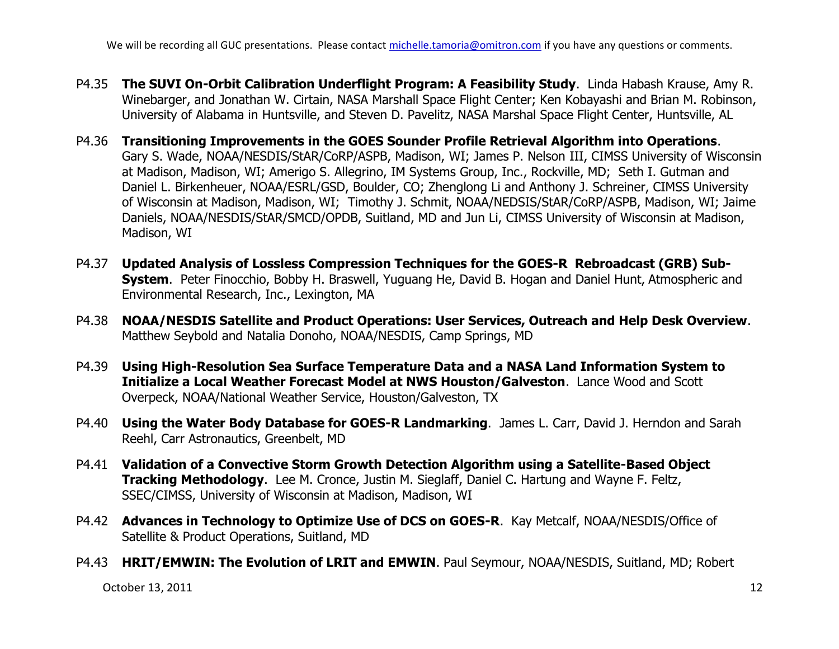We will be recording all GUC presentations. Please contact michelle.tamoria@omitron.com if you have any questions or comments.

- P4.35 **The SUVI On-Orbit Calibration Underflight Program: A Feasibility Study**. Linda Habash Krause, Amy R. Winebarger, and Jonathan W. Cirtain, NASA Marshall Space Flight Center; Ken Kobayashi and Brian M. Robinson, University of Alabama in Huntsville, and Steven D. Pavelitz, NASA Marshal Space Flight Center, Huntsville, AL
- P4.36 **Transitioning Improvements in the GOES Sounder Profile Retrieval Algorithm into Operations**. Gary S. Wade, NOAA/NESDIS/StAR/CoRP/ASPB, Madison, WI; James P. Nelson III, CIMSS University of Wisconsin at Madison, Madison, WI; Amerigo S. Allegrino, IM Systems Group, Inc., Rockville, MD; Seth I. Gutman and Daniel L. Birkenheuer, NOAA/ESRL/GSD, Boulder, CO; Zhenglong Li and Anthony J. Schreiner, CIMSS University of Wisconsin at Madison, Madison, WI; Timothy J. Schmit, NOAA/NEDSIS/StAR/CoRP/ASPB, Madison, WI; Jaime Daniels, NOAA/NESDIS/StAR/SMCD/OPDB, Suitland, MD and Jun Li, CIMSS University of Wisconsin at Madison, Madison, WI
- P4.37 **Updated Analysis of Lossless Compression Techniques for the GOES-R Rebroadcast (GRB) Sub-System**. Peter Finocchio, Bobby H. Braswell, Yuguang He, David B. Hogan and Daniel Hunt, Atmospheric and Environmental Research, Inc., Lexington, MA
- P4.38 **NOAA/NESDIS Satellite and Product Operations: User Services, Outreach and Help Desk Overview**. Matthew Seybold and Natalia Donoho, NOAA/NESDIS, Camp Springs, MD
- P4.39 **Using High-Resolution Sea Surface Temperature Data and a NASA Land Information System to Initialize a Local Weather Forecast Model at NWS Houston/Galveston**.Lance Wood and Scott Overpeck, NOAA/National Weather Service, Houston/Galveston, TX
- P4.40 **Using the Water Body Database for GOES-R Landmarking**. James L. Carr, David J. Herndon and Sarah Reehl, Carr Astronautics, Greenbelt, MD
- P4.41 **Validation of a Convective Storm Growth Detection Algorithm using a Satellite-Based Object Tracking Methodology**. Lee M. Cronce, Justin M. Sieglaff, Daniel C. Hartung and Wayne F. Feltz, SSEC/CIMSS, University of Wisconsin at Madison, Madison, WI
- P4.42 **Advances in Technology to Optimize Use of DCS on GOES-R**. Kay Metcalf, NOAA/NESDIS/Office of Satellite & Product Operations, Suitland, MD
- P4.43 **HRIT/EMWIN: The Evolution of LRIT and EMWIN**. Paul Seymour, NOAA/NESDIS, Suitland, MD; Robert

October 13, 2011 2012 12